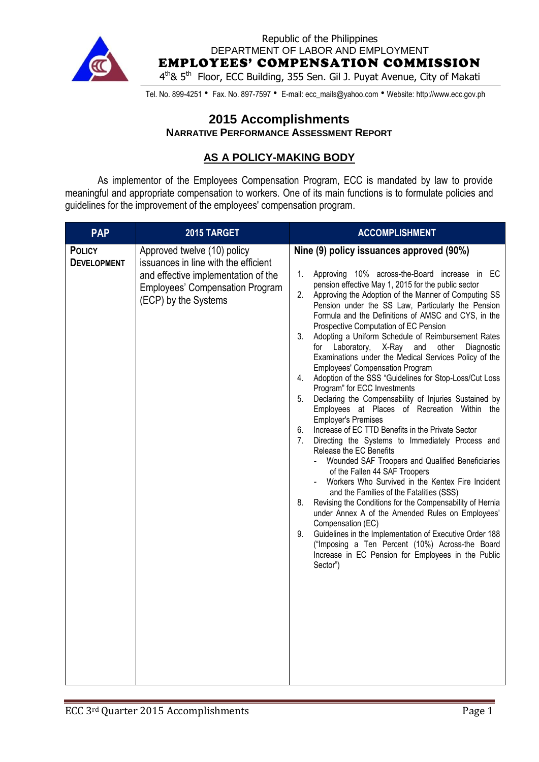

Republic of the Philippines DEPARTMENT OF LABOR AND EMPLOYMENT

EMPLOYEES' COMPENSATION COMMISSION

4<sup>th</sup>& 5<sup>th</sup> Floor, ECC Building, 355 Sen. Gil J. Puyat Avenue, City of Makati

Tel. No. 899-4251 • Fax. No. 897-7597 • E-mail: ecc\_mails@yahoo.com • Website: http://www.ecc.gov.ph

### **2015 Accomplishments NARRATIVE PERFORMANCE ASSESSMENT REPORT**

## **AS A POLICY-MAKING BODY**

As implementor of the Employees Compensation Program, ECC is mandated by law to provide meaningful and appropriate compensation to workers. One of its main functions is to formulate policies and guidelines for the improvement of the employees' compensation program.

| <b>PAP</b>                          | 2015 TARGET                                                                                                                                                                  | <b>ACCOMPLISHMENT</b>                                                                                                                                                                                                                                                                                                                                                                                                                                                                                                                                                                                                                                                                                                                                                                                                                                                                                                                                                                                                                                                                                                                                                                                                                                                                                                                                                                                                                                                                                                  |
|-------------------------------------|------------------------------------------------------------------------------------------------------------------------------------------------------------------------------|------------------------------------------------------------------------------------------------------------------------------------------------------------------------------------------------------------------------------------------------------------------------------------------------------------------------------------------------------------------------------------------------------------------------------------------------------------------------------------------------------------------------------------------------------------------------------------------------------------------------------------------------------------------------------------------------------------------------------------------------------------------------------------------------------------------------------------------------------------------------------------------------------------------------------------------------------------------------------------------------------------------------------------------------------------------------------------------------------------------------------------------------------------------------------------------------------------------------------------------------------------------------------------------------------------------------------------------------------------------------------------------------------------------------------------------------------------------------------------------------------------------------|
| <b>POLICY</b><br><b>DEVELOPMENT</b> | Approved twelve (10) policy<br>issuances in line with the efficient<br>and effective implementation of the<br><b>Employees' Compensation Program</b><br>(ECP) by the Systems | Nine (9) policy issuances approved (90%)<br>Approving 10% across-the-Board increase in EC<br>1.<br>pension effective May 1, 2015 for the public sector<br>2.<br>Approving the Adoption of the Manner of Computing SS<br>Pension under the SS Law, Particularly the Pension<br>Formula and the Definitions of AMSC and CYS, in the<br>Prospective Computation of EC Pension<br>3.<br>Adopting a Uniform Schedule of Reimbursement Rates<br>X-Ray and<br>for<br>Laboratory,<br>other<br>Diagnostic<br>Examinations under the Medical Services Policy of the<br><b>Employees' Compensation Program</b><br>Adoption of the SSS "Guidelines for Stop-Loss/Cut Loss<br>4.<br>Program" for ECC Investments<br>Declaring the Compensability of Injuries Sustained by<br>5.<br>Employees at Places of Recreation Within the<br><b>Employer's Premises</b><br>Increase of EC TTD Benefits in the Private Sector<br>6.<br>7.<br>Directing the Systems to Immediately Process and<br>Release the EC Benefits<br>Wounded SAF Troopers and Qualified Beneficiaries<br>of the Fallen 44 SAF Troopers<br>Workers Who Survived in the Kentex Fire Incident<br>and the Families of the Fatalities (SSS)<br>Revising the Conditions for the Compensability of Hernia<br>8.<br>under Annex A of the Amended Rules on Employees'<br>Compensation (EC)<br>9.<br>Guidelines in the Implementation of Executive Order 188<br>("Imposing a Ten Percent (10%) Across-the Board<br>Increase in EC Pension for Employees in the Public<br>Sector") |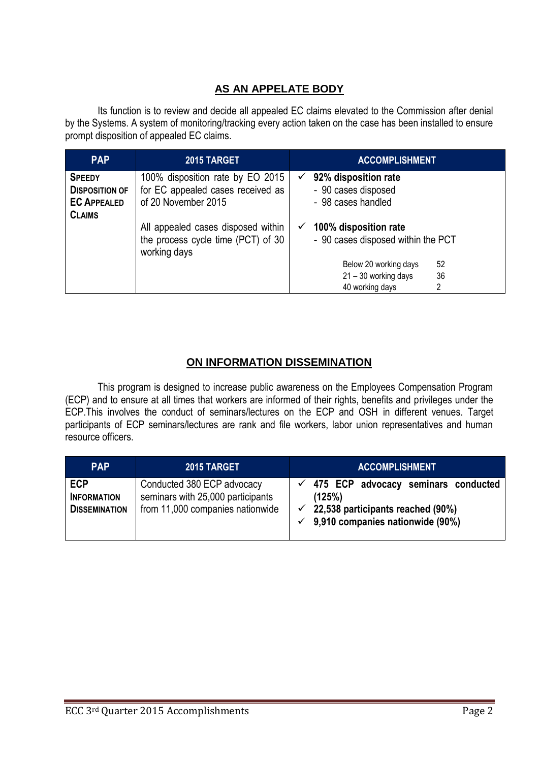# **AS AN APPELATE BODY**

Its function is to review and decide all appealed EC claims elevated to the Commission after denial by the Systems. A system of monitoring/tracking every action taken on the case has been installed to ensure prompt disposition of appealed EC claims.

| <b>PAP</b>                                                                    | 2015 TARGET                                                                                  | <b>ACCOMPLISHMENT</b>                                                  |
|-------------------------------------------------------------------------------|----------------------------------------------------------------------------------------------|------------------------------------------------------------------------|
| <b>SPEEDY</b><br><b>DISPOSITION OF</b><br><b>EC APPEALED</b><br><b>CLAIMS</b> | 100% disposition rate by EO 2015<br>for EC appealed cases received as<br>of 20 November 2015 | 92% disposition rate<br>✓<br>- 90 cases disposed<br>- 98 cases handled |
|                                                                               | All appealed cases disposed within<br>the process cycle time (PCT) of 30<br>working days     | 100% disposition rate<br>✓<br>- 90 cases disposed within the PCT       |
|                                                                               |                                                                                              | 52<br>Below 20 working days                                            |
|                                                                               |                                                                                              | 21 - 30 working days<br>36                                             |
|                                                                               |                                                                                              | 40 working days<br>2                                                   |

## **ON INFORMATION DISSEMINATION**

This program is designed to increase public awareness on the Employees Compensation Program (ECP) and to ensure at all times that workers are informed of their rights, benefits and privileges under the ECP.This involves the conduct of seminars/lectures on the ECP and OSH in different venues. Target participants of ECP seminars/lectures are rank and file workers, labor union representatives and human resource officers.

| <b>PAP</b>                                               | 2015 TARGET                                                                                         | <b>ACCOMPLISHMENT</b>                                                                                                                                         |
|----------------------------------------------------------|-----------------------------------------------------------------------------------------------------|---------------------------------------------------------------------------------------------------------------------------------------------------------------|
| <b>ECP</b><br><b>INFORMATION</b><br><b>DISSEMINATION</b> | Conducted 380 ECP advocacy<br>seminars with 25,000 participants<br>from 11,000 companies nationwide | $\checkmark$ 475 ECP advocacy seminars conducted<br>(125%)<br>$\checkmark$ 22,538 participants reached (90%)<br>$\checkmark$ 9,910 companies nationwide (90%) |